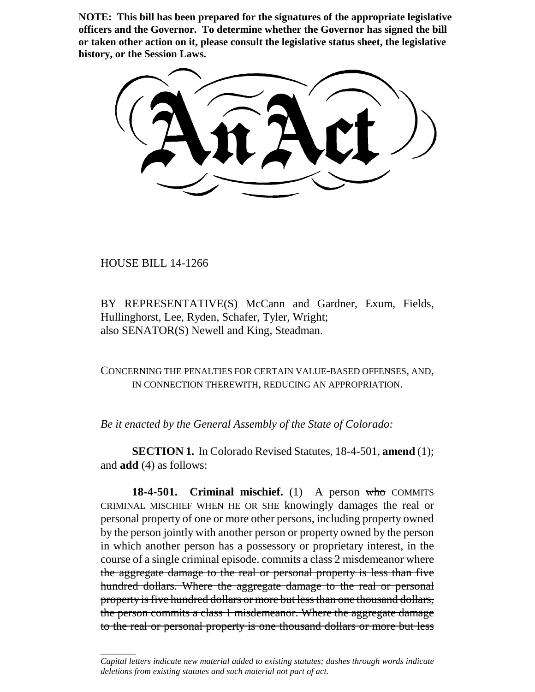**NOTE: This bill has been prepared for the signatures of the appropriate legislative officers and the Governor. To determine whether the Governor has signed the bill or taken other action on it, please consult the legislative status sheet, the legislative history, or the Session Laws.**

HOUSE BILL 14-1266

\_\_\_\_\_\_\_\_

BY REPRESENTATIVE(S) McCann and Gardner, Exum, Fields, Hullinghorst, Lee, Ryden, Schafer, Tyler, Wright; also SENATOR(S) Newell and King, Steadman.

CONCERNING THE PENALTIES FOR CERTAIN VALUE-BASED OFFENSES, AND, IN CONNECTION THEREWITH, REDUCING AN APPROPRIATION.

*Be it enacted by the General Assembly of the State of Colorado:*

**SECTION 1.** In Colorado Revised Statutes, 18-4-501, **amend** (1); and **add** (4) as follows:

**18-4-501.** Criminal mischief. (1) A person who COMMITS CRIMINAL MISCHIEF WHEN HE OR SHE knowingly damages the real or personal property of one or more other persons, including property owned by the person jointly with another person or property owned by the person in which another person has a possessory or proprietary interest, in the course of a single criminal episode. commits a class 2 misdemeanor where the aggregate damage to the real or personal property is less than five hundred dollars. Where the aggregate damage to the real or personal property is five hundred dollars or more but less than one thousand dollars, the person commits a class 1 misdemeanor. Where the aggregate damage to the real or personal property is one thousand dollars or more but less

*Capital letters indicate new material added to existing statutes; dashes through words indicate deletions from existing statutes and such material not part of act.*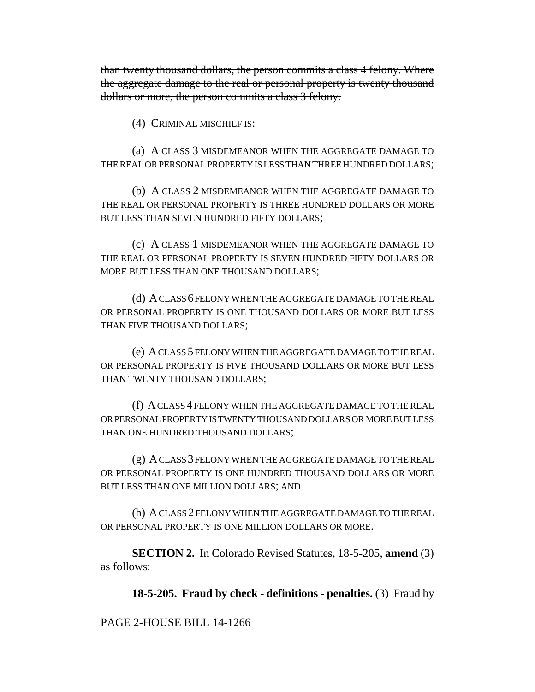than twenty thousand dollars, the person commits a class 4 felony. Where the aggregate damage to the real or personal property is twenty thousand dollars or more, the person commits a class 3 felony.

(4) CRIMINAL MISCHIEF IS:

(a) A CLASS 3 MISDEMEANOR WHEN THE AGGREGATE DAMAGE TO THE REAL OR PERSONAL PROPERTY IS LESS THAN THREE HUNDRED DOLLARS;

(b) A CLASS 2 MISDEMEANOR WHEN THE AGGREGATE DAMAGE TO THE REAL OR PERSONAL PROPERTY IS THREE HUNDRED DOLLARS OR MORE BUT LESS THAN SEVEN HUNDRED FIFTY DOLLARS;

(c) A CLASS 1 MISDEMEANOR WHEN THE AGGREGATE DAMAGE TO THE REAL OR PERSONAL PROPERTY IS SEVEN HUNDRED FIFTY DOLLARS OR MORE BUT LESS THAN ONE THOUSAND DOLLARS;

(d) A CLASS 6 FELONY WHEN THE AGGREGATE DAMAGE TO THE REAL OR PERSONAL PROPERTY IS ONE THOUSAND DOLLARS OR MORE BUT LESS THAN FIVE THOUSAND DOLLARS;

(e) A CLASS 5 FELONY WHEN THE AGGREGATE DAMAGE TO THE REAL OR PERSONAL PROPERTY IS FIVE THOUSAND DOLLARS OR MORE BUT LESS THAN TWENTY THOUSAND DOLLARS;

(f) A CLASS 4 FELONY WHEN THE AGGREGATE DAMAGE TO THE REAL OR PERSONAL PROPERTY IS TWENTY THOUSAND DOLLARS OR MORE BUT LESS THAN ONE HUNDRED THOUSAND DOLLARS;

(g) A CLASS 3 FELONY WHEN THE AGGREGATE DAMAGE TO THE REAL OR PERSONAL PROPERTY IS ONE HUNDRED THOUSAND DOLLARS OR MORE BUT LESS THAN ONE MILLION DOLLARS; AND

(h) A CLASS 2 FELONY WHEN THE AGGREGATE DAMAGE TO THE REAL OR PERSONAL PROPERTY IS ONE MILLION DOLLARS OR MORE.

**SECTION 2.** In Colorado Revised Statutes, 18-5-205, **amend** (3) as follows:

**18-5-205. Fraud by check - definitions - penalties.** (3) Fraud by

PAGE 2-HOUSE BILL 14-1266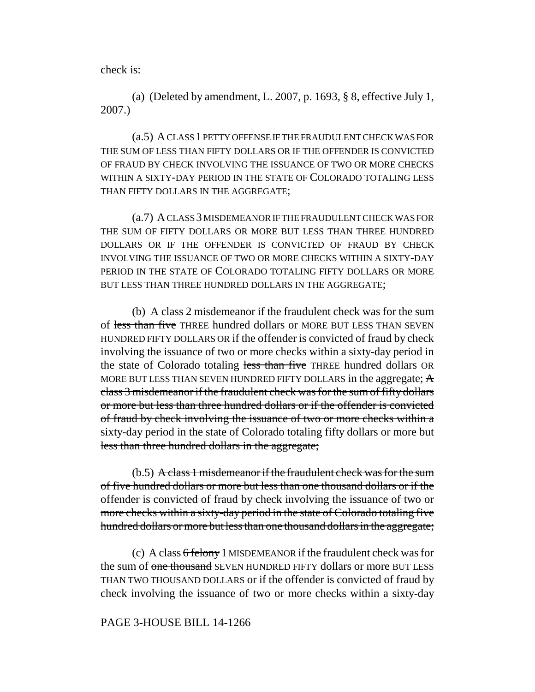check is:

(a) (Deleted by amendment, L. 2007, p. 1693, § 8, effective July 1, 2007.)

(a.5) A CLASS 1 PETTY OFFENSE IF THE FRAUDULENT CHECK WAS FOR THE SUM OF LESS THAN FIFTY DOLLARS OR IF THE OFFENDER IS CONVICTED OF FRAUD BY CHECK INVOLVING THE ISSUANCE OF TWO OR MORE CHECKS WITHIN A SIXTY-DAY PERIOD IN THE STATE OF COLORADO TOTALING LESS THAN FIFTY DOLLARS IN THE AGGREGATE;

(a.7) A CLASS 3 MISDEMEANOR IF THE FRAUDULENT CHECK WAS FOR THE SUM OF FIFTY DOLLARS OR MORE BUT LESS THAN THREE HUNDRED DOLLARS OR IF THE OFFENDER IS CONVICTED OF FRAUD BY CHECK INVOLVING THE ISSUANCE OF TWO OR MORE CHECKS WITHIN A SIXTY-DAY PERIOD IN THE STATE OF COLORADO TOTALING FIFTY DOLLARS OR MORE BUT LESS THAN THREE HUNDRED DOLLARS IN THE AGGREGATE;

(b) A class 2 misdemeanor if the fraudulent check was for the sum of less than five THREE hundred dollars or MORE BUT LESS THAN SEVEN HUNDRED FIFTY DOLLARS OR if the offender is convicted of fraud by check involving the issuance of two or more checks within a sixty-day period in the state of Colorado totaling less than five THREE hundred dollars OR MORE BUT LESS THAN SEVEN HUNDRED FIFTY DOLLARS in the aggregate;  $\overline{A}$ class 3 misdemeanor if the fraudulent check was for the sum of fifty dollars or more but less than three hundred dollars or if the offender is convicted of fraud by check involving the issuance of two or more checks within a sixty-day period in the state of Colorado totaling fifty dollars or more but less than three hundred dollars in the aggregate;

(b.5) A class 1 misdemeanor if the fraudulent check was for the sum of five hundred dollars or more but less than one thousand dollars or if the offender is convicted of fraud by check involving the issuance of two or more checks within a sixty-day period in the state of Colorado totaling five hundred dollars or more but less than one thousand dollars in the aggregate;

(c) A class 6 felony 1 MISDEMEANOR if the fraudulent check was for the sum of <del>one thousand</del> SEVEN HUNDRED FIFTY dollars or more BUT LESS THAN TWO THOUSAND DOLLARS or if the offender is convicted of fraud by check involving the issuance of two or more checks within a sixty-day

## PAGE 3-HOUSE BILL 14-1266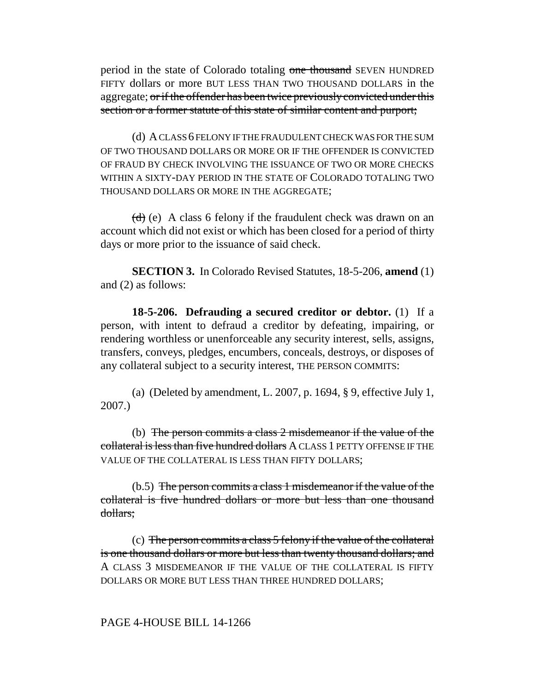period in the state of Colorado totaling one thousand SEVEN HUNDRED FIFTY dollars or more BUT LESS THAN TWO THOUSAND DOLLARS in the aggregate; or if the offender has been twice previously convicted under this section or a former statute of this state of similar content and purport;

(d) A CLASS 6 FELONY IF THE FRAUDULENT CHECK WAS FOR THE SUM OF TWO THOUSAND DOLLARS OR MORE OR IF THE OFFENDER IS CONVICTED OF FRAUD BY CHECK INVOLVING THE ISSUANCE OF TWO OR MORE CHECKS WITHIN A SIXTY-DAY PERIOD IN THE STATE OF COLORADO TOTALING TWO THOUSAND DOLLARS OR MORE IN THE AGGREGATE;

 $(d)$  (e) A class 6 felony if the fraudulent check was drawn on an account which did not exist or which has been closed for a period of thirty days or more prior to the issuance of said check.

**SECTION 3.** In Colorado Revised Statutes, 18-5-206, **amend** (1) and (2) as follows:

**18-5-206. Defrauding a secured creditor or debtor.** (1) If a person, with intent to defraud a creditor by defeating, impairing, or rendering worthless or unenforceable any security interest, sells, assigns, transfers, conveys, pledges, encumbers, conceals, destroys, or disposes of any collateral subject to a security interest, THE PERSON COMMITS:

(a) (Deleted by amendment, L. 2007, p. 1694, § 9, effective July 1, 2007.)

(b) The person commits a class 2 misdemeanor if the value of the collateral is less than five hundred dollars A CLASS 1 PETTY OFFENSE IF THE VALUE OF THE COLLATERAL IS LESS THAN FIFTY DOLLARS;

(b.5) The person commits a class 1 misdemeanor if the value of the collateral is five hundred dollars or more but less than one thousand dollars;

(c) The person commits a class 5 felony if the value of the collateral is one thousand dollars or more but less than twenty thousand dollars; and A CLASS 3 MISDEMEANOR IF THE VALUE OF THE COLLATERAL IS FIFTY DOLLARS OR MORE BUT LESS THAN THREE HUNDRED DOLLARS;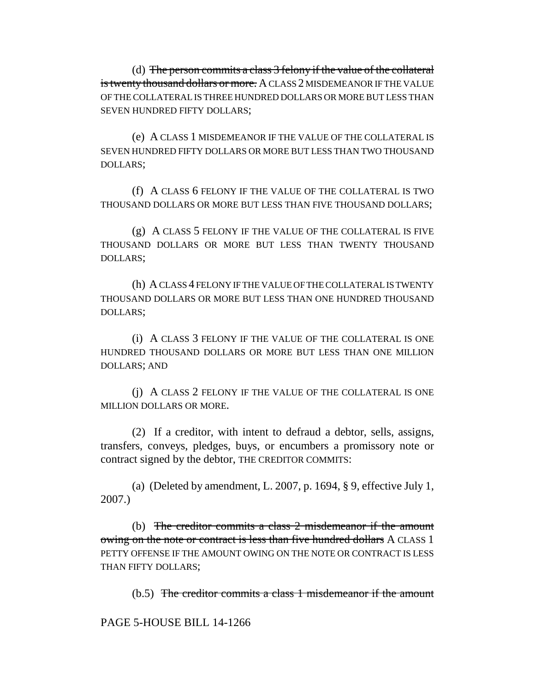(d) The person commits a class 3 felony if the value of the collateral is twenty thousand dollars or more. A CLASS 2 MISDEMEANOR IF THE VALUE OF THE COLLATERAL IS THREE HUNDRED DOLLARS OR MORE BUT LESS THAN SEVEN HUNDRED FIFTY DOLLARS;

(e) A CLASS 1 MISDEMEANOR IF THE VALUE OF THE COLLATERAL IS SEVEN HUNDRED FIFTY DOLLARS OR MORE BUT LESS THAN TWO THOUSAND DOLLARS;

(f) A CLASS 6 FELONY IF THE VALUE OF THE COLLATERAL IS TWO THOUSAND DOLLARS OR MORE BUT LESS THAN FIVE THOUSAND DOLLARS;

(g) A CLASS 5 FELONY IF THE VALUE OF THE COLLATERAL IS FIVE THOUSAND DOLLARS OR MORE BUT LESS THAN TWENTY THOUSAND DOLLARS;

(h) A CLASS 4 FELONY IF THE VALUE OF THE COLLATERAL IS TWENTY THOUSAND DOLLARS OR MORE BUT LESS THAN ONE HUNDRED THOUSAND DOLLARS;

(i) A CLASS 3 FELONY IF THE VALUE OF THE COLLATERAL IS ONE HUNDRED THOUSAND DOLLARS OR MORE BUT LESS THAN ONE MILLION DOLLARS; AND

(j) A CLASS 2 FELONY IF THE VALUE OF THE COLLATERAL IS ONE MILLION DOLLARS OR MORE.

(2) If a creditor, with intent to defraud a debtor, sells, assigns, transfers, conveys, pledges, buys, or encumbers a promissory note or contract signed by the debtor, THE CREDITOR COMMITS:

(a) (Deleted by amendment, L. 2007, p. 1694, § 9, effective July 1, 2007.)

(b) The creditor commits a class 2 misdemeanor if the amount owing on the note or contract is less than five hundred dollars A CLASS 1 PETTY OFFENSE IF THE AMOUNT OWING ON THE NOTE OR CONTRACT IS LESS THAN FIFTY DOLLARS;

(b.5) The creditor commits a class 1 misdemeanor if the amount

PAGE 5-HOUSE BILL 14-1266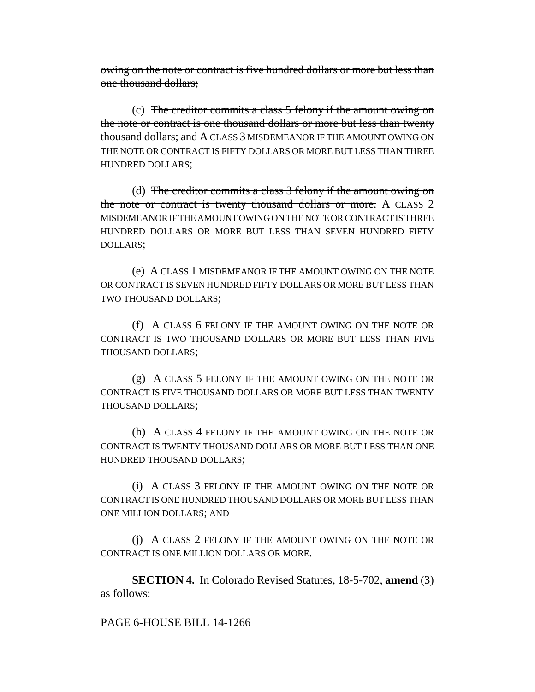owing on the note or contract is five hundred dollars or more but less than one thousand dollars;

(c) The creditor commits a class 5 felony if the amount owing on the note or contract is one thousand dollars or more but less than twenty thousand dollars; and A CLASS 3 MISDEMEANOR IF THE AMOUNT OWING ON THE NOTE OR CONTRACT IS FIFTY DOLLARS OR MORE BUT LESS THAN THREE HUNDRED DOLLARS;

(d) The creditor commits a class  $3$  felony if the amount owing on the note or contract is twenty thousand dollars or more. A CLASS 2 MISDEMEANOR IF THE AMOUNT OWING ON THE NOTE OR CONTRACT IS THREE HUNDRED DOLLARS OR MORE BUT LESS THAN SEVEN HUNDRED FIFTY DOLLARS;

(e) A CLASS 1 MISDEMEANOR IF THE AMOUNT OWING ON THE NOTE OR CONTRACT IS SEVEN HUNDRED FIFTY DOLLARS OR MORE BUT LESS THAN TWO THOUSAND DOLLARS;

(f) A CLASS 6 FELONY IF THE AMOUNT OWING ON THE NOTE OR CONTRACT IS TWO THOUSAND DOLLARS OR MORE BUT LESS THAN FIVE THOUSAND DOLLARS;

(g) A CLASS 5 FELONY IF THE AMOUNT OWING ON THE NOTE OR CONTRACT IS FIVE THOUSAND DOLLARS OR MORE BUT LESS THAN TWENTY THOUSAND DOLLARS;

(h) A CLASS 4 FELONY IF THE AMOUNT OWING ON THE NOTE OR CONTRACT IS TWENTY THOUSAND DOLLARS OR MORE BUT LESS THAN ONE HUNDRED THOUSAND DOLLARS;

(i) A CLASS 3 FELONY IF THE AMOUNT OWING ON THE NOTE OR CONTRACT IS ONE HUNDRED THOUSAND DOLLARS OR MORE BUT LESS THAN ONE MILLION DOLLARS; AND

(j) A CLASS 2 FELONY IF THE AMOUNT OWING ON THE NOTE OR CONTRACT IS ONE MILLION DOLLARS OR MORE.

**SECTION 4.** In Colorado Revised Statutes, 18-5-702, **amend** (3) as follows:

PAGE 6-HOUSE BILL 14-1266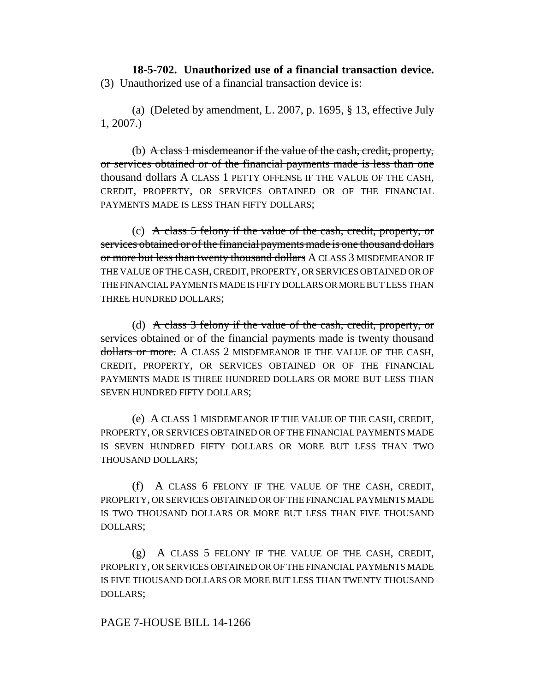**18-5-702. Unauthorized use of a financial transaction device.** (3) Unauthorized use of a financial transaction device is:

(a) (Deleted by amendment, L. 2007, p. 1695, § 13, effective July 1, 2007.)

(b) A class 1 misdemeanor if the value of the cash, credit, property, or services obtained or of the financial payments made is less than one thousand dollars A CLASS 1 PETTY OFFENSE IF THE VALUE OF THE CASH, CREDIT, PROPERTY, OR SERVICES OBTAINED OR OF THE FINANCIAL PAYMENTS MADE IS LESS THAN FIFTY DOLLARS;

(c) A class 5 felony if the value of the cash, credit, property, or services obtained or of the financial payments made is one thousand dollars or more but less than twenty thousand dollars A CLASS 3 MISDEMEANOR IF THE VALUE OF THE CASH, CREDIT, PROPERTY, OR SERVICES OBTAINED OR OF THE FINANCIAL PAYMENTS MADE IS FIFTY DOLLARS OR MORE BUT LESS THAN THREE HUNDRED DOLLARS;

(d) A class 3 felony if the value of the cash, credit, property, or services obtained or of the financial payments made is twenty thousand dollars or more. A CLASS 2 MISDEMEANOR IF THE VALUE OF THE CASH, CREDIT, PROPERTY, OR SERVICES OBTAINED OR OF THE FINANCIAL PAYMENTS MADE IS THREE HUNDRED DOLLARS OR MORE BUT LESS THAN SEVEN HUNDRED FIFTY DOLLARS;

(e) A CLASS 1 MISDEMEANOR IF THE VALUE OF THE CASH, CREDIT, PROPERTY, OR SERVICES OBTAINED OR OF THE FINANCIAL PAYMENTS MADE IS SEVEN HUNDRED FIFTY DOLLARS OR MORE BUT LESS THAN TWO THOUSAND DOLLARS;

(f) A CLASS 6 FELONY IF THE VALUE OF THE CASH, CREDIT, PROPERTY, OR SERVICES OBTAINED OR OF THE FINANCIAL PAYMENTS MADE IS TWO THOUSAND DOLLARS OR MORE BUT LESS THAN FIVE THOUSAND DOLLARS;

(g) A CLASS 5 FELONY IF THE VALUE OF THE CASH, CREDIT, PROPERTY, OR SERVICES OBTAINED OR OF THE FINANCIAL PAYMENTS MADE IS FIVE THOUSAND DOLLARS OR MORE BUT LESS THAN TWENTY THOUSAND DOLLARS;

PAGE 7-HOUSE BILL 14-1266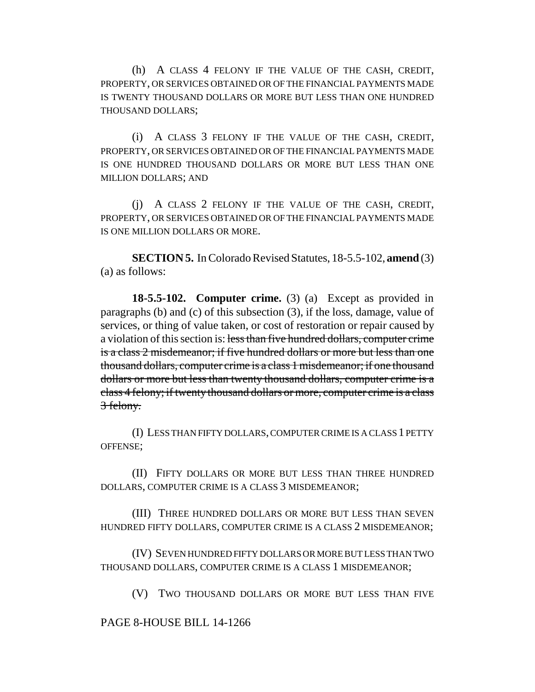(h) A CLASS 4 FELONY IF THE VALUE OF THE CASH, CREDIT, PROPERTY, OR SERVICES OBTAINED OR OF THE FINANCIAL PAYMENTS MADE IS TWENTY THOUSAND DOLLARS OR MORE BUT LESS THAN ONE HUNDRED THOUSAND DOLLARS;

(i) A CLASS 3 FELONY IF THE VALUE OF THE CASH, CREDIT, PROPERTY, OR SERVICES OBTAINED OR OF THE FINANCIAL PAYMENTS MADE IS ONE HUNDRED THOUSAND DOLLARS OR MORE BUT LESS THAN ONE MILLION DOLLARS; AND

(j) A CLASS 2 FELONY IF THE VALUE OF THE CASH, CREDIT, PROPERTY, OR SERVICES OBTAINED OR OF THE FINANCIAL PAYMENTS MADE IS ONE MILLION DOLLARS OR MORE.

**SECTION 5.** In Colorado Revised Statutes, 18-5.5-102, **amend** (3) (a) as follows:

**18-5.5-102. Computer crime.** (3) (a) Except as provided in paragraphs (b) and (c) of this subsection (3), if the loss, damage, value of services, or thing of value taken, or cost of restoration or repair caused by a violation of this section is: less than five hundred dollars, computer crime is a class 2 misdemeanor; if five hundred dollars or more but less than one thousand dollars, computer crime is a class 1 misdemeanor; if one thousand dollars or more but less than twenty thousand dollars, computer crime is a class 4 felony; if twenty thousand dollars or more, computer crime is a class 3 felony.

(I) LESS THAN FIFTY DOLLARS, COMPUTER CRIME IS A CLASS 1 PETTY OFFENSE;

(II) FIFTY DOLLARS OR MORE BUT LESS THAN THREE HUNDRED DOLLARS, COMPUTER CRIME IS A CLASS 3 MISDEMEANOR;

(III) THREE HUNDRED DOLLARS OR MORE BUT LESS THAN SEVEN HUNDRED FIFTY DOLLARS, COMPUTER CRIME IS A CLASS 2 MISDEMEANOR;

(IV) SEVEN HUNDRED FIFTY DOLLARS OR MORE BUT LESS THAN TWO THOUSAND DOLLARS, COMPUTER CRIME IS A CLASS 1 MISDEMEANOR;

(V) TWO THOUSAND DOLLARS OR MORE BUT LESS THAN FIVE

PAGE 8-HOUSE BILL 14-1266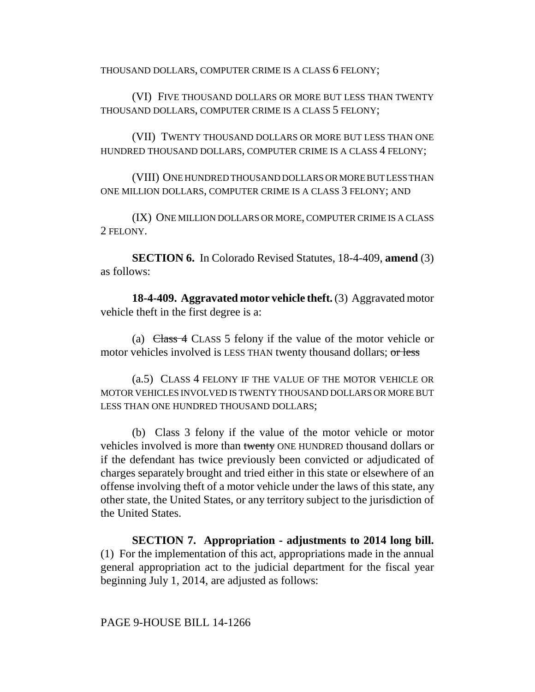THOUSAND DOLLARS, COMPUTER CRIME IS A CLASS 6 FELONY;

(VI) FIVE THOUSAND DOLLARS OR MORE BUT LESS THAN TWENTY THOUSAND DOLLARS, COMPUTER CRIME IS A CLASS 5 FELONY;

(VII) TWENTY THOUSAND DOLLARS OR MORE BUT LESS THAN ONE HUNDRED THOUSAND DOLLARS, COMPUTER CRIME IS A CLASS 4 FELONY;

(VIII) ONE HUNDRED THOUSAND DOLLARS OR MORE BUT LESS THAN ONE MILLION DOLLARS, COMPUTER CRIME IS A CLASS 3 FELONY; AND

(IX) ONE MILLION DOLLARS OR MORE, COMPUTER CRIME IS A CLASS 2 FELONY.

**SECTION 6.** In Colorado Revised Statutes, 18-4-409, **amend** (3) as follows:

**18-4-409. Aggravated motor vehicle theft.** (3) Aggravated motor vehicle theft in the first degree is a:

(a)  $Class 4$  CLASS 5 felony if the value of the motor vehicle or motor vehicles involved is LESS THAN twenty thousand dollars; or less

(a.5) CLASS 4 FELONY IF THE VALUE OF THE MOTOR VEHICLE OR MOTOR VEHICLES INVOLVED IS TWENTY THOUSAND DOLLARS OR MORE BUT LESS THAN ONE HUNDRED THOUSAND DOLLARS;

(b) Class 3 felony if the value of the motor vehicle or motor vehicles involved is more than twenty ONE HUNDRED thousand dollars or if the defendant has twice previously been convicted or adjudicated of charges separately brought and tried either in this state or elsewhere of an offense involving theft of a motor vehicle under the laws of this state, any other state, the United States, or any territory subject to the jurisdiction of the United States.

**SECTION 7. Appropriation - adjustments to 2014 long bill.** (1) For the implementation of this act, appropriations made in the annual general appropriation act to the judicial department for the fiscal year beginning July 1, 2014, are adjusted as follows: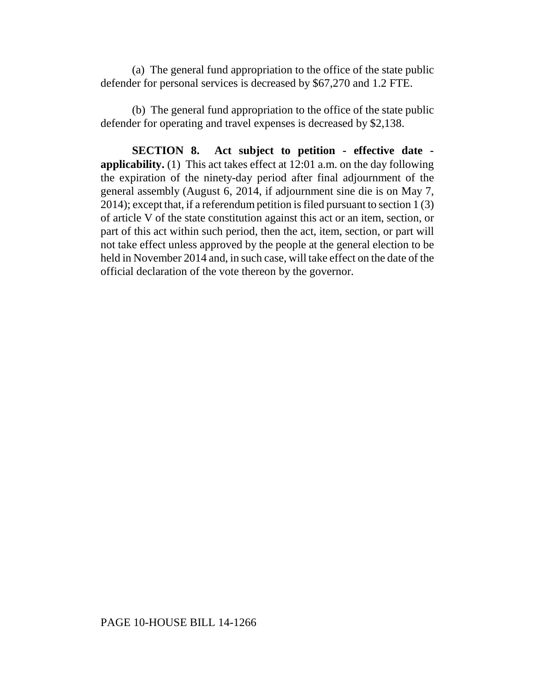(a) The general fund appropriation to the office of the state public defender for personal services is decreased by \$67,270 and 1.2 FTE.

(b) The general fund appropriation to the office of the state public defender for operating and travel expenses is decreased by \$2,138.

**SECTION 8. Act subject to petition - effective date applicability.** (1) This act takes effect at 12:01 a.m. on the day following the expiration of the ninety-day period after final adjournment of the general assembly (August 6, 2014, if adjournment sine die is on May 7, 2014); except that, if a referendum petition is filed pursuant to section 1 (3) of article V of the state constitution against this act or an item, section, or part of this act within such period, then the act, item, section, or part will not take effect unless approved by the people at the general election to be held in November 2014 and, in such case, will take effect on the date of the official declaration of the vote thereon by the governor.